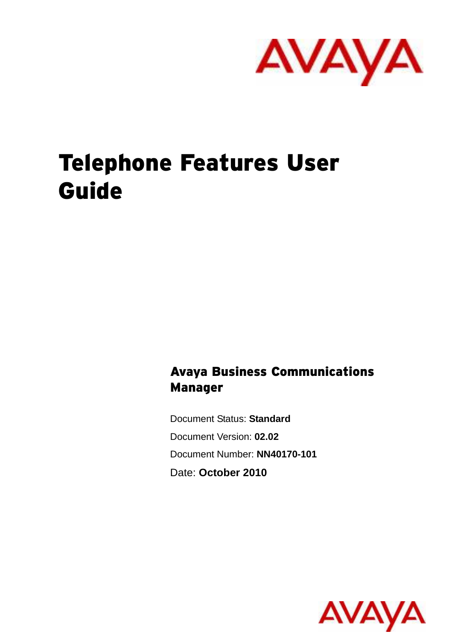

# Telephone Features User Guide

Avaya Business Communications Manager

Document Status: **Standard** Document Version: **02.02** Document Number: **NN40170-101** Date: **October 2010**

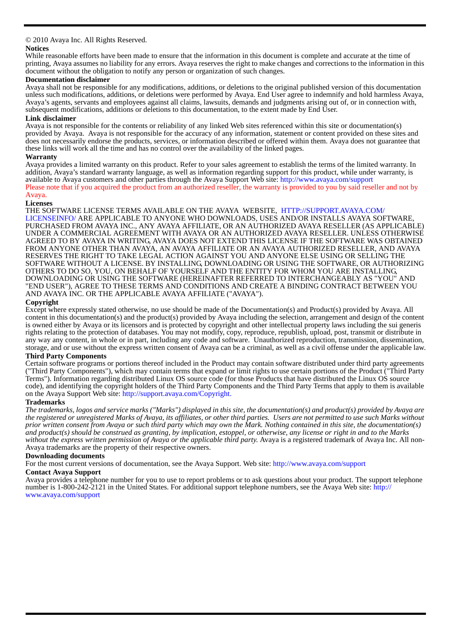## © 2010 Avaya Inc. All Rights Reserved.

## **Notices**

While reasonable efforts have been made to ensure that the information in this document is complete and accurate at the time of printing, Avaya assumes no liability for any errors. Avaya reserves the right to make changes and corrections to the information in this document without the obligation to notify any person or organization of such changes.

## **Documentation disclaimer**

Avaya shall not be responsible for any modifications, additions, or deletions to the original published version of this documentation unless such modifications, additions, or deletions were performed by Avaya. End User agree to indemnify and hold harmless Avaya, Avaya's agents, servants and employees against all claims, lawsuits, demands and judgments arising out of, or in connection with, subsequent modifications, additions or deletions to this documentation, to the extent made by End User.

## **Link disclaimer**

Avaya is not responsible for the contents or reliability of any linked Web sites referenced within this site or documentation(s) provided by Avaya. Avaya is not responsible for the accuracy of any information, statement or content provided on these sites and does not necessarily endorse the products, services, or information described or offered within them. Avaya does not guarantee that these links will work all the time and has no control over the availability of the linked pages.

## **Warranty**

Avaya provides a limited warranty on this product. Refer to your sales agreement to establish the terms of the limited warranty. In addition, Avaya's standard warranty language, as well as information regarding support for this product, while under warranty, is available to Avaya customers and other parties through the Avaya Support Web site: http://www.avaya.com/support Please note that if you acquired the product from an authorized reseller, the warranty is provided to you by said reseller and not by Avaya.

## **Licenses**

THE SOFTWARE LICENSE TERMS AVAILABLE ON THE AVAYA WEBSITE, HTTP://SUPPORT.AVAYA.COM/ LICENSEINFO/ ARE APPLICABLE TO ANYONE WHO DOWNLOADS, USES AND/OR INSTALLS AVAYA SOFTWARE, PURCHASED FROM AVAYA INC., ANY AVAYA AFFILIATE, OR AN AUTHORIZED AVAYA RESELLER (AS APPLICABLE) UNDER A COMMERCIAL AGREEMENT WITH AVAYA OR AN AUTHORIZED AVAYA RESELLER. UNLESS OTHERWISE AGREED TO BY AVAYA IN WRITING, AVAYA DOES NOT EXTEND THIS LICENSE IF THE SOFTWARE WAS OBTAINED FROM ANYONE OTHER THAN AVAYA, AN AVAYA AFFILIATE OR AN AVAYA AUTHORIZED RESELLER, AND AVAYA RESERVES THE RIGHT TO TAKE LEGAL ACTION AGAINST YOU AND ANYONE ELSE USING OR SELLING THE SOFTWARE WITHOUT A LICENSE. BY INSTALLING, DOWNLOADING OR USING THE SOFTWARE, OR AUTHORIZING OTHERS TO DO SO, YOU, ON BEHALF OF YOURSELF AND THE ENTITY FOR WHOM YOU ARE INSTALLING, DOWNLOADING OR USING THE SOFTWARE (HEREINAFTER REFERRED TO INTERCHANGEABLY AS "YOU" AND "END USER"), AGREE TO THESE TERMS AND CONDITIONS AND CREATE A BINDING CONTRACT BETWEEN YOU AND AVAYA INC. OR THE APPLICABLE AVAYA AFFILIATE ("AVAYA").

## **Copyright**

Except where expressly stated otherwise, no use should be made of the Documentation(s) and Product(s) provided by Avaya. All content in this documentation(s) and the product(s) provided by Avaya including the selection, ar is owned either by Avaya or its licensors and is protected by copyright and other intellectual property laws including the sui generis rights relating to the protection of databases. You may not modify, copy, reproduce, republish, upload, post, transmit or distribute in any way any content, in whole or in part, including any code and software. Unauthorized reproduction, transmission, dissemination, storage, and or use without the express written consent of Avaya can be a criminal, as well as a civil offense under the applicable law.

## **Third Party Components**

Certain software programs or portions thereof included in the Product may contain software distributed under third party agreements ("Third Party Components"), which may contain terms that expand or limit rights to use certain portions of the Product ("Third Party Terms"). Information regarding distributed Linux OS source code (for those Products that have distributed the Linux OS source code), and identifying the copyright holders of the Third Party Components and the Third Party Terms that apply to them is available on the Avaya Support Web site: http://support.avaya.com/Copyright.

## **Trademarks**

*The trademarks, logos and service marks ("Marks") displayed in this site, the documentation(s) and product(s) provided by Avaya are the registered or unregistered Marks of Avaya, its affiliates, or other third parties. Users are not permitted to use such Marks without prior written consent from Avaya or such third party which may own the Mark. Nothing contained in this site, the documentation(s) and product(s) should be construed as granting, by implication, estoppel, or otherwise, any license or right in and to the Marks without the express written permission of Avaya or the applicable third party.* Avaya is a registered trademark of Avaya Inc. All non-Avaya trademarks are the property of their respective owners.

## **Downloading documents**

For the most current versions of documentation, see the Avaya Support. Web site: http://www.avaya.com/support

## **Contact Avaya Support**

Avaya provides a telephone number for you to use to report problems or to ask questions about your product. The support telephone number is 1-800-242-2121 in the United States. For additional support telephone numbers, see the Avaya Web site: http:// www.avaya.com/support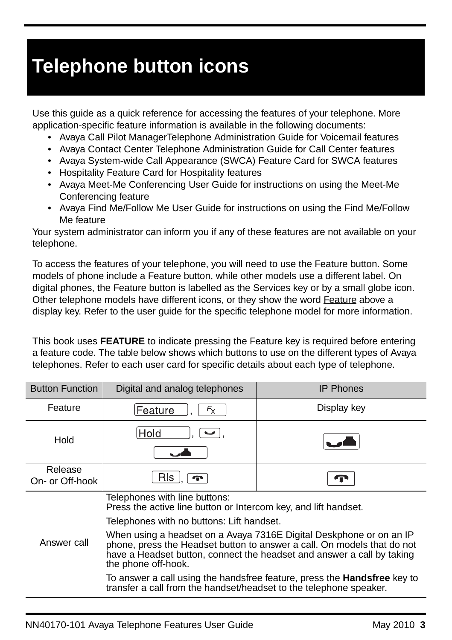# **Telephone button icons**

Use this guide as a quick reference for accessing the features of your telephone. More application-specific feature information is available in the following documents:

- Avaya Call Pilot ManagerTelephone Administration Guide for Voicemail features
- Avaya Contact Center Telephone Administration Guide for Call Center features
- Avaya System-wide Call Appearance (SWCA) Feature Card for SWCA features
- Hospitality Feature Card for Hospitality features
- Avaya Meet-Me Conferencing User Guide for instructions on using the Meet-Me Conferencing feature
- Avaya Find Me/Follow Me User Guide for instructions on using the Find Me/Follow Me feature

Your system administrator can inform you if any of these features are not available on your telephone.

To access the features of your telephone, you will need to use the Feature button. Some models of phone include a Feature button, while other models use a different label. On digital phones, the Feature button is labelled as the Services key or by a small globe icon. Other telephone models have different icons, or they show the word Feature above a display key. Refer to the user guide for the specific telephone model for more information.

This book uses **FEATURE** to indicate pressing the Feature key is required before entering a feature code. The table below shows which buttons to use on the different types of Avaya telephones. Refer to each user card for specific details about each type of telephone.

| <b>Button Function</b>     | Digital and analog telephones                                                                                                                                                                                                                   | <b>IP Phones</b> |  |
|----------------------------|-------------------------------------------------------------------------------------------------------------------------------------------------------------------------------------------------------------------------------------------------|------------------|--|
| Feature                    | $F_{\sf X}$<br>Feature                                                                                                                                                                                                                          | Display key      |  |
| Hold                       | Hold                                                                                                                                                                                                                                            |                  |  |
| Release<br>On- or Off-hook | RIs i<br>$\mathbf{r}$                                                                                                                                                                                                                           |                  |  |
|                            | Telephones with line buttons:<br>Press the active line button or Intercom key, and lift handset.                                                                                                                                                |                  |  |
|                            | Telephones with no buttons: Lift handset.                                                                                                                                                                                                       |                  |  |
| Answer call                | When using a headset on a Avaya 7316E Digital Deskphone or on an IP<br>phone, press the Headset button to answer a call. On models that do not<br>have a Headset button, connect the headset and answer a call by taking<br>the phone off-hook. |                  |  |
|                            | To answer a call using the handsfree feature, press the <b>Handsfree</b> key to<br>transfer a call from the handset/headset to the telephone speaker.                                                                                           |                  |  |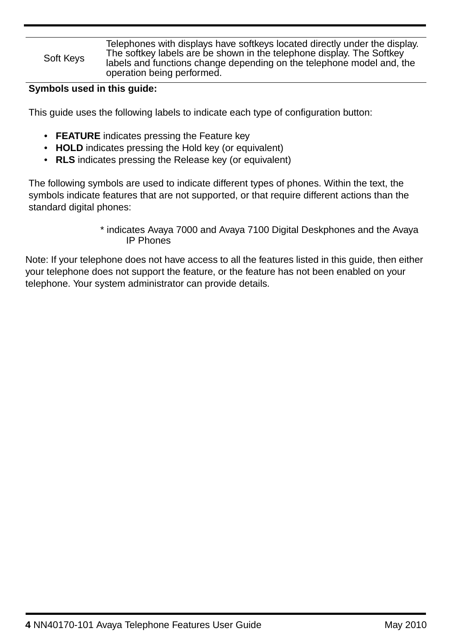### Soft Keys Telephones with displays have softkeys located directly under the display. The softkey labels are be shown in the telephone display. The Softkey labels and functions change depending on the telephone model and, the operation being performed.

## **Symbols used in this guide:**

This guide uses the following labels to indicate each type of configuration button:

- **FEATURE** indicates pressing the Feature key
- **HOLD** indicates pressing the Hold key (or equivalent)
- **RLS** indicates pressing the Release key (or equivalent)

The following symbols are used to indicate different types of phones. Within the text, the symbols indicate features that are not supported, or that require different actions than the standard digital phones:

## \* indicates Avaya 7000 and Avaya 7100 Digital Deskphones and the Avaya IP Phones

Note: If your telephone does not have access to all the features listed in this guide, then either your telephone does not support the feature, or the feature has not been enabled on your telephone. Your system administrator can provide details.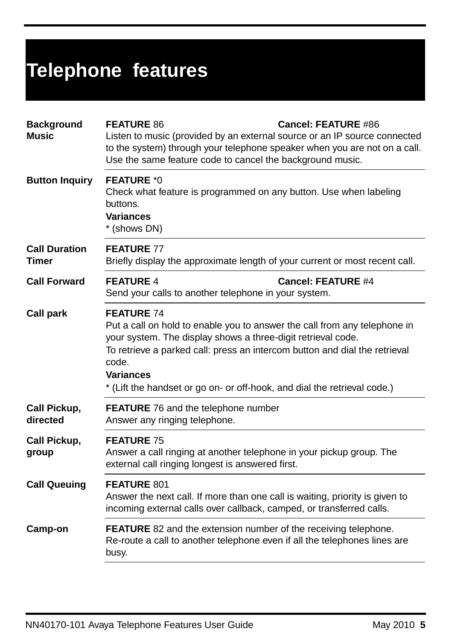| <b>Background</b><br><b>Music</b> | <b>FEATURE 86</b><br><b>Cancel: FEATURE #86</b><br>Listen to music (provided by an external source or an IP source connected<br>to the system) through your telephone speaker when you are not on a call.<br>Use the same feature code to cancel the background music.                                                                                |  |
|-----------------------------------|-------------------------------------------------------------------------------------------------------------------------------------------------------------------------------------------------------------------------------------------------------------------------------------------------------------------------------------------------------|--|
| <b>Button Inquiry</b>             | <b>FEATURE *0</b><br>Check what feature is programmed on any button. Use when labeling<br>buttons.<br>Variances<br>* (shows DN)                                                                                                                                                                                                                       |  |
| <b>Call Duration</b><br>Timer     | <b>FEATURE 77</b><br>Briefly display the approximate length of your current or most recent call.                                                                                                                                                                                                                                                      |  |
| <b>Call Forward</b>               | <b>FEATURE 4</b><br><b>Cancel: FEATURE #4</b><br>Send your calls to another telephone in your system.                                                                                                                                                                                                                                                 |  |
| Call park                         | <b>FEATURE 74</b><br>Put a call on hold to enable you to answer the call from any telephone in<br>your system. The display shows a three-digit retrieval code.<br>To retrieve a parked call: press an intercom button and dial the retrieval<br>code.<br><b>Variances</b><br>* (Lift the handset or go on- or off-hook, and dial the retrieval code.) |  |
| Call Pickup,<br>directed          | <b>FEATURE</b> 76 and the telephone number<br>Answer any ringing telephone.                                                                                                                                                                                                                                                                           |  |
| Call Pickup,<br>group             | <b>FEATURE 75</b><br>Answer a call ringing at another telephone in your pickup group. The<br>external call ringing longest is answered first.                                                                                                                                                                                                         |  |
| <b>Call Queuing</b>               | FEATURE 801<br>Answer the next call. If more than one call is waiting, priority is given to<br>incoming external calls over callback, camped, or transferred calls.                                                                                                                                                                                   |  |
| Camp-on                           | <b>FEATURE</b> 82 and the extension number of the receiving telephone.<br>Re-route a call to another telephone even if all the telephones lines are<br>busy.                                                                                                                                                                                          |  |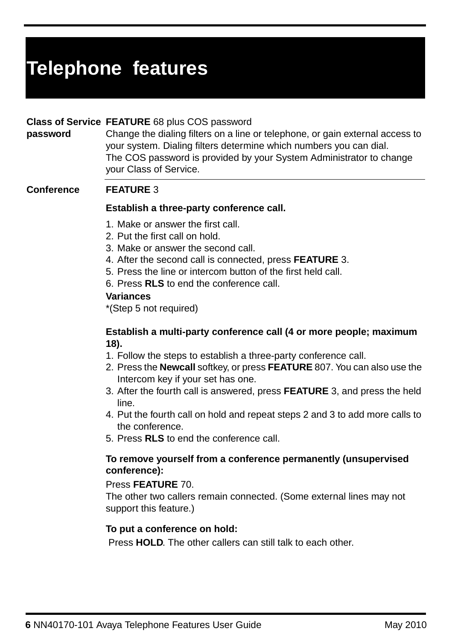## **Class of Service FEATURE** 68 plus COS password

**password** Change the dialing filters on a line or telephone, or gain external access to your system. Dialing filters determine which numbers you can dial. The COS password is provided by your System Administrator to change your Class of Service.

## **Conference FEATURE** 3

## **Establish a three-party conference call.**

- 1. Make or answer the first call.
- 2. Put the first call on hold.
- 3. Make or answer the second call.
- 4. After the second call is connected, press **FEATURE** 3.
- 5. Press the line or intercom button of the first held call.
- 6. Press **RLS** to end the conference call.

## **Variances**

\*(Step 5 not required)

## **Establish a multi-party conference call (4 or more people; maximum 18).**

- 1. Follow the steps to establish a three-party conference call.
- 2. Press the **Newcall** softkey, or press **FEATURE** 807. You can also use the Intercom key if your set has one.
- 3. After the fourth call is answered, press **FEATURE** 3, and press the held line.
- 4. Put the fourth call on hold and repeat steps 2 and 3 to add more calls to the conference.
- 5. Press **RLS** to end the conference call.

## **To remove yourself from a conference permanently (unsupervised conference):**

## Press **FEATURE** 70.

The other two callers remain connected. (Some external lines may not support this feature.)

## **To put a conference on hold:**

Press **HOLD**. The other callers can still talk to each other.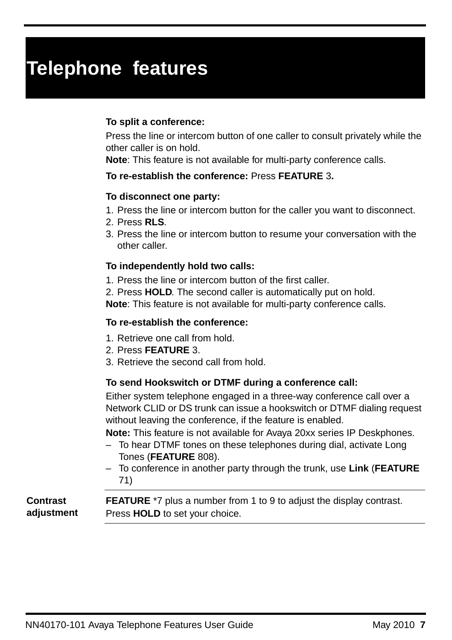## **To split a conference:**

Press the line or intercom button of one caller to consult privately while the other caller is on hold.

**Note**: This feature is not available for multi-party conference calls.

## **To re-establish the conference:** Press **FEATURE** 3**.**

## **To disconnect one party:**

- 1. Press the line or intercom button for the caller you want to disconnect.
- 2. Press **RLS**.
- 3. Press the line or intercom button to resume your conversation with the other caller.

## **To independently hold two calls:**

1. Press the line or intercom button of the first caller.

2. Press **HOLD**. The second caller is automatically put on hold.

**Note**: This feature is not available for multi-party conference calls.

## **To re-establish the conference:**

- 1. Retrieve one call from hold.
- 2. Press **FEATURE** 3.
- 3. Retrieve the second call from hold.

## **To send Hookswitch or DTMF during a conference call:**

Either system telephone engaged in a three-way conference call over a Network CLID or DS trunk can issue a hookswitch or DTMF dialing request without leaving the conference, if the feature is enabled.

**Note:** This feature is not available for Avaya 20xx series IP Deskphones.

- To hear DTMF tones on these telephones during dial, activate Long Tones (**FEATURE** 808).
- To conference in another party through the trunk, use **Link** (**FEATURE** 71)

**Contrast adjustment FEATURE** \*7 plus a number from 1 to 9 to adjust the display contrast. Press **HOLD** to set your choice.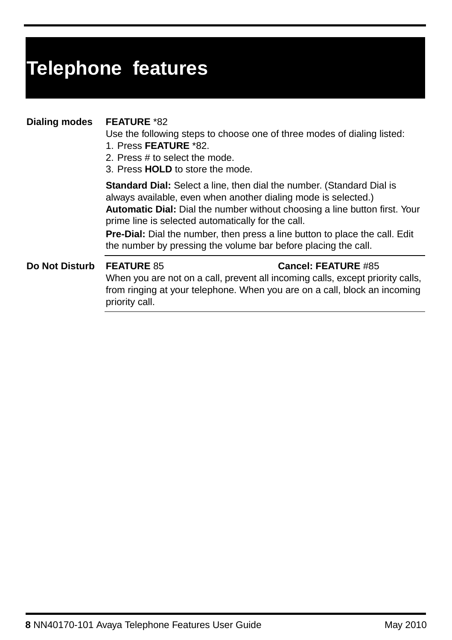## **Dialing modes FEATURE** \*82

Use the following steps to choose one of three modes of dialing listed:

- 1. Press **FEATURE** \*82.
- 2. Press # to select the mode.
- 3. Press **HOLD** to store the mode.

**Standard Dial:** Select a line, then dial the number. (Standard Dial is always available, even when another dialing mode is selected.) **Automatic Dial:** Dial the number without choosing a line button first. Your prime line is selected automatically for the call.

**Pre-Dial:** Dial the number, then press a line button to place the call. Edit the number by pressing the volume bar before placing the call.

## **Do Not Disturb FEATURE** 85 **Cancel: FEATURE** #85

When you are not on a call, prevent all incoming calls, except priority calls, from ringing at your telephone. When you are on a call, block an incoming priority call.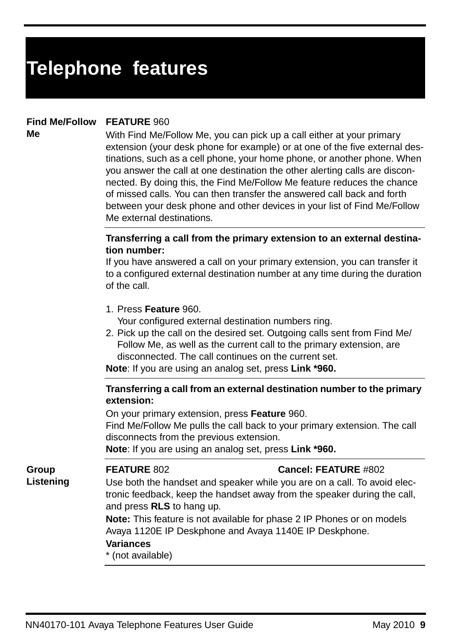## **Find Me/Follow FEATURE** 960

**Me**

**Group Listening** With Find Me/Follow Me, you can pick up a call either at your primary extension (your desk phone for example) or at one of the five external destinations, such as a cell phone, your home phone, or another phone. When you answer the call at one destination the other alerting calls are disconnected. By doing this, the Find Me/Follow Me feature reduces the chance of missed calls. You can then transfer the answered call back and forth between your desk phone and other devices in your list of Find Me/Follow Me external destinations.

## **Transferring a call from the primary extension to an external destination number:**

If you have answered a call on your primary extension, you can transfer it to a configured external destination number at any time during the duration of the call.

1. Press **Feature** 960.

Your configured external destination numbers ring.

2. Pick up the call on the desired set. Outgoing calls sent from Find Me/ Follow Me, as well as the current call to the primary extension, are disconnected. The call continues on the current set.

**Note**: If you are using an analog set, press **Link \*960.**

## **Transferring a call from an external destination number to the primary extension:**

On your primary extension, press **Feature** 960.

Find Me/Follow Me pulls the call back to your primary extension. The call disconnects from the previous extension.

**Note**: If you are using an analog set, press **Link \*960.**

## **FEATURE** 802 **Cancel: FEATURE** #802

Use both the handset and speaker while you are on a call. To avoid electronic feedback, keep the handset away from the speaker during the call, and press **RLS** to hang up.

**Note:** This feature is not available for phase 2 IP Phones or on models Avaya 1120E IP Deskphone and Avaya 1140E IP Deskphone.

## **Variances**

\* (not available)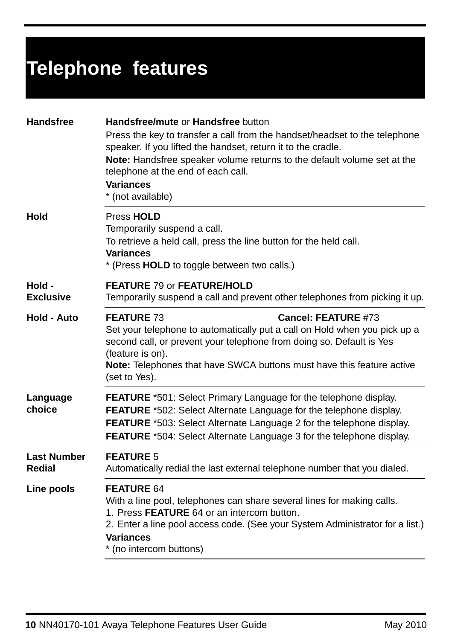| <b>Handsfree</b>             | Handsfree/mute or Handsfree button<br>Press the key to transfer a call from the handset/headset to the telephone<br>speaker. If you lifted the handset, return it to the cradle.<br>Note: Handsfree speaker volume returns to the default volume set at the<br>telephone at the end of each call.<br><b>Variances</b><br>* (not available) |
|------------------------------|--------------------------------------------------------------------------------------------------------------------------------------------------------------------------------------------------------------------------------------------------------------------------------------------------------------------------------------------|
| Hold                         | Press HOLD<br>Temporarily suspend a call.<br>To retrieve a held call, press the line button for the held call.<br><b>Variances</b><br>* (Press HOLD to toggle between two calls.)                                                                                                                                                          |
| Hold -<br><b>Exclusive</b>   | <b>FEATURE 79 or FEATURE/HOLD</b><br>Temporarily suspend a call and prevent other telephones from picking it up.                                                                                                                                                                                                                           |
| Hold - Auto                  | <b>FEATURE 73</b><br>Cancel: FEATURE #73<br>Set your telephone to automatically put a call on Hold when you pick up a<br>second call, or prevent your telephone from doing so. Default is Yes<br>(feature is on).<br><b>Note:</b> Telephones that have SWCA buttons must have this feature active<br>(set to Yes).                         |
| Language<br>choice           | <b>FEATURE</b> *501: Select Primary Language for the telephone display.<br>FEATURE *502: Select Alternate Language for the telephone display.<br>FEATURE *503: Select Alternate Language 2 for the telephone display.<br><b>FEATURE</b> *504: Select Alternate Language 3 for the telephone display.                                       |
| <b>Last Number</b><br>Redial | <b>FEATURE 5</b><br>Automatically redial the last external telephone number that you dialed.                                                                                                                                                                                                                                               |
| Line pools                   | <b>FEATURE 64</b><br>With a line pool, telephones can share several lines for making calls.<br>1. Press FEATURE 64 or an intercom button.<br>2. Enter a line pool access code. (See your System Administrator for a list.)<br>Variances<br>* (no intercom buttons)                                                                         |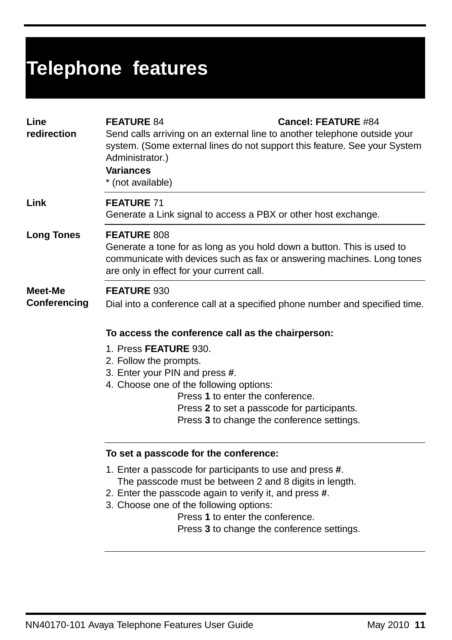| Line<br>redirection     | <b>FEATURE 84</b><br><b>Cancel: FEATURE #84</b><br>Send calls arriving on an external line to another telephone outside your<br>system. (Some external lines do not support this feature. See your System<br>Administrator.)<br><b>Variances</b><br>* (not available) |  |  |  |
|-------------------------|-----------------------------------------------------------------------------------------------------------------------------------------------------------------------------------------------------------------------------------------------------------------------|--|--|--|
| Link                    | <b>FEATURE 71</b><br>Generate a Link signal to access a PBX or other host exchange.                                                                                                                                                                                   |  |  |  |
| <b>Long Tones</b>       | FEATURE 808<br>Generate a tone for as long as you hold down a button. This is used to<br>communicate with devices such as fax or answering machines. Long tones<br>are only in effect for your current call.                                                          |  |  |  |
| Meet-Me<br>Conferencing | FEATURE 930<br>Dial into a conference call at a specified phone number and specified time.                                                                                                                                                                            |  |  |  |
|                         | To access the conference call as the chairperson:                                                                                                                                                                                                                     |  |  |  |
|                         | 1. Press FEATURE 930.                                                                                                                                                                                                                                                 |  |  |  |
|                         | 2. Follow the prompts.                                                                                                                                                                                                                                                |  |  |  |
|                         | 3. Enter your PIN and press #.<br>4. Choose one of the following options:                                                                                                                                                                                             |  |  |  |
|                         | Press 1 to enter the conference.                                                                                                                                                                                                                                      |  |  |  |
|                         | Press 2 to set a passcode for participants.                                                                                                                                                                                                                           |  |  |  |
|                         | Press 3 to change the conference settings.                                                                                                                                                                                                                            |  |  |  |
|                         | To set a passcode for the conference:                                                                                                                                                                                                                                 |  |  |  |
|                         | 1. Enter a passcode for participants to use and press #.                                                                                                                                                                                                              |  |  |  |
|                         | The passcode must be between 2 and 8 digits in length.                                                                                                                                                                                                                |  |  |  |
|                         | 2. Enter the passcode again to verify it, and press #.<br>3. Choose one of the following options:                                                                                                                                                                     |  |  |  |
|                         | Press 1 to enter the conference.                                                                                                                                                                                                                                      |  |  |  |
|                         | Press 3 to change the conference settings.                                                                                                                                                                                                                            |  |  |  |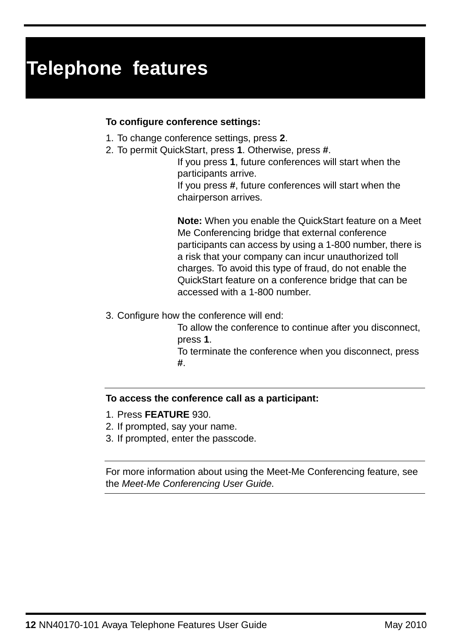## **To configure conference settings:**

- 1. To change conference settings, press **2**.
- 2. To permit QuickStart, press **1**. Otherwise, press **#**.

If you press **1**, future conferences will start when the participants arrive.

If you press **#**, future conferences will start when the chairperson arrives.

**Note:** When you enable the QuickStart feature on a Meet Me Conferencing bridge that external conference participants can access by using a 1-800 number, there is a risk that your company can incur unauthorized toll charges. To avoid this type of fraud, do not enable the QuickStart feature on a conference bridge that can be accessed with a 1-800 number.

3. Configure how the conference will end:

To allow the conference to continue after you disconnect, press **1**. To terminate the conference when you disconnect, press

**#**.

## **To access the conference call as a participant:**

- 1. Press **FEATURE** 930.
- 2. If prompted, say your name.
- 3. If prompted, enter the passcode.

For more information about using the Meet-Me Conferencing feature, see the Meet-Me Conferencing User Guide.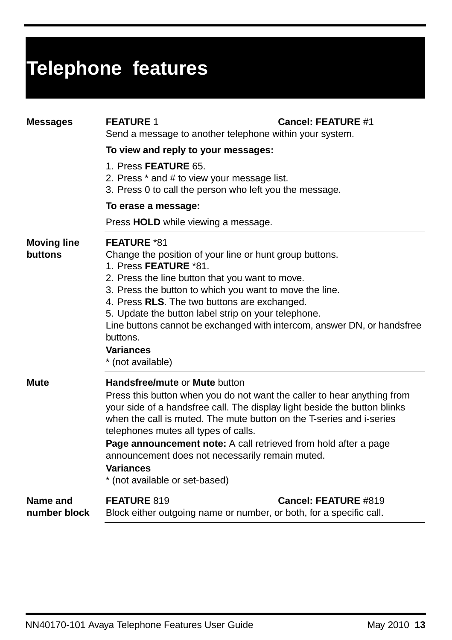| <b>Messages</b>               | <b>FEATURE 1</b><br>Send a message to another telephone within your system.                                                                                                                                                                                                                                                                                                                                                                                                       | <b>Cancel: FEATURE #1</b> |  |
|-------------------------------|-----------------------------------------------------------------------------------------------------------------------------------------------------------------------------------------------------------------------------------------------------------------------------------------------------------------------------------------------------------------------------------------------------------------------------------------------------------------------------------|---------------------------|--|
|                               | To view and reply to your messages:                                                                                                                                                                                                                                                                                                                                                                                                                                               |                           |  |
|                               | 1. Press FEATURE 65.<br>2. Press * and # to view your message list.<br>3. Press 0 to call the person who left you the message.                                                                                                                                                                                                                                                                                                                                                    |                           |  |
|                               | To erase a message:                                                                                                                                                                                                                                                                                                                                                                                                                                                               |                           |  |
|                               | Press HOLD while viewing a message.                                                                                                                                                                                                                                                                                                                                                                                                                                               |                           |  |
| <b>Moving line</b><br>buttons | <b>FEATURE *81</b><br>Change the position of your line or hunt group buttons.<br>1. Press FEATURE *81.<br>2. Press the line button that you want to move.<br>3. Press the button to which you want to move the line.<br>4. Press RLS. The two buttons are exchanged.<br>5. Update the button label strip on your telephone.<br>Line buttons cannot be exchanged with intercom, answer DN, or handsfree<br>buttons.<br><b>Variances</b><br>* (not available)                       |                           |  |
| <b>Mute</b>                   | Handsfree/mute or Mute button<br>Press this button when you do not want the caller to hear anything from<br>your side of a handsfree call. The display light beside the button blinks<br>when the call is muted. The mute button on the T-series and i-series<br>telephones mutes all types of calls.<br>Page announcement note: A call retrieved from hold after a page<br>announcement does not necessarily remain muted.<br><b>Variances</b><br>* (not available or set-based) |                           |  |
| Name and<br>number block      | FEATURE 819<br>Block either outgoing name or number, or both, for a specific call.                                                                                                                                                                                                                                                                                                                                                                                                | Cancel: FEATURE #819      |  |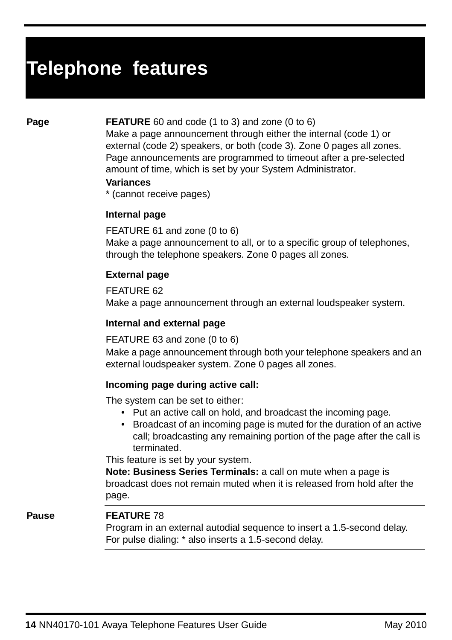## **Page FEATURE** 60 and code (1 to 3) and zone (0 to 6)

Make a page announcement through either the internal (code 1) or external (code 2) speakers, or both (code 3). Zone 0 pages all zones. Page announcements are programmed to timeout after a pre-selected amount of time, which is set by your System Administrator.

## **Variances**

\* (cannot receive pages)

## **Internal page**

FEATURE 61 and zone (0 to 6) Make a page announcement to all, or to a specific group of telephones, through the telephone speakers. Zone 0 pages all zones.

## **External page**

FEATURE 62 Make a page announcement through an external loudspeaker system.

## **Internal and external page**

## FEATURE 63 and zone (0 to 6)

Make a page announcement through both your telephone speakers and an external loudspeaker system. Zone 0 pages all zones.

## **Incoming page during active call:**

The system can be set to either:

- Put an active call on hold, and broadcast the incoming page.
- Broadcast of an incoming page is muted for the duration of an active call; broadcasting any remaining portion of the page after the call is terminated.

This feature is set by your system.

**Note: Business Series Terminals:** a call on mute when a page is broadcast does not remain muted when it is released from hold after the page.

## Pause **FEATURE** 78

Program in an external autodial sequence to insert a 1.5-second delay. For pulse dialing: \* also inserts a 1.5-second delay.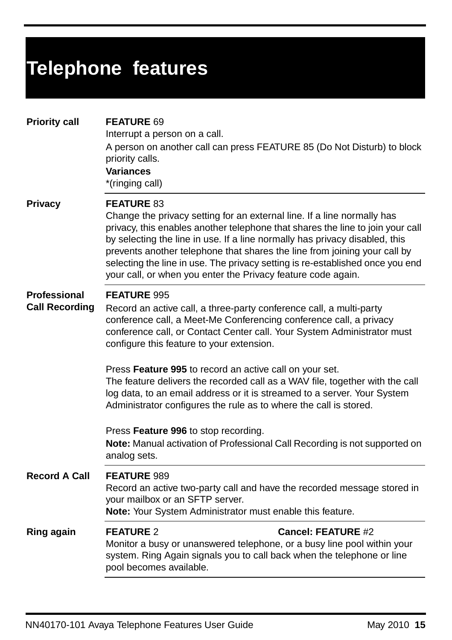| <b>Priority call</b>                         | <b>FEATURE 69</b><br>Interrupt a person on a call.<br>A person on another call can press FEATURE 85 (Do Not Disturb) to block<br>priority calls.<br><b>Variances</b><br>*(ringing call)                                                                                                                                                                                                                                                                                                                                                                                      |
|----------------------------------------------|------------------------------------------------------------------------------------------------------------------------------------------------------------------------------------------------------------------------------------------------------------------------------------------------------------------------------------------------------------------------------------------------------------------------------------------------------------------------------------------------------------------------------------------------------------------------------|
| <b>Privacy</b>                               | <b>FEATURE 83</b><br>Change the privacy setting for an external line. If a line normally has<br>privacy, this enables another telephone that shares the line to join your call<br>by selecting the line in use. If a line normally has privacy disabled, this<br>prevents another telephone that shares the line from joining your call by<br>selecting the line in use. The privacy setting is re-established once you end<br>your call, or when you enter the Privacy feature code again.                                                                                  |
| <b>Professional</b><br><b>Call Recording</b> | FEATURE 995<br>Record an active call, a three-party conference call, a multi-party<br>conference call, a Meet-Me Conferencing conference call, a privacy<br>conference call, or Contact Center call. Your System Administrator must<br>configure this feature to your extension.<br>Press Feature 995 to record an active call on your set.<br>The feature delivers the recorded call as a WAV file, together with the call<br>log data, to an email address or it is streamed to a server. Your System<br>Administrator configures the rule as to where the call is stored. |
|                                              | Press Feature 996 to stop recording.<br>Note: Manual activation of Professional Call Recording is not supported on<br>analog sets.                                                                                                                                                                                                                                                                                                                                                                                                                                           |
| <b>Record A Call</b>                         | <b>FEATURE 989</b><br>Record an active two-party call and have the recorded message stored in<br>your mailbox or an SFTP server.<br>Note: Your System Administrator must enable this feature.                                                                                                                                                                                                                                                                                                                                                                                |
| Ring again                                   | <b>FEATURE 2</b><br><b>Cancel: FEATURE #2</b><br>Monitor a busy or unanswered telephone, or a busy line pool within your<br>system. Ring Again signals you to call back when the telephone or line<br>pool becomes available.                                                                                                                                                                                                                                                                                                                                                |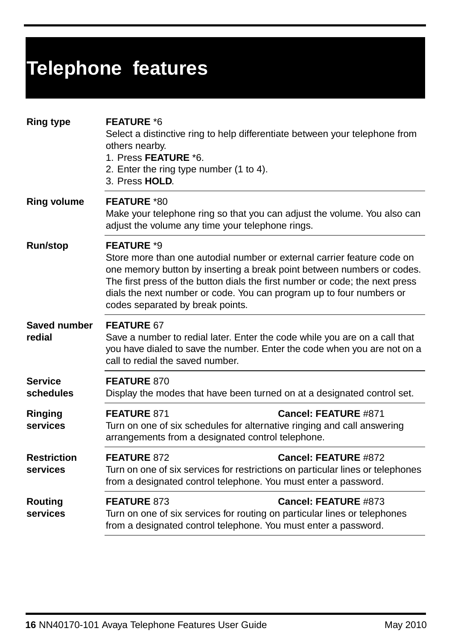| <b>Ring type</b>               | <b>FEATURE *6</b><br>Select a distinctive ring to help differentiate between your telephone from<br>others nearby.<br>1. Press FEATURE *6.<br>2. Enter the ring type number (1 to 4).<br>3. Press HOLD.                                                                                                                                                            |  |
|--------------------------------|--------------------------------------------------------------------------------------------------------------------------------------------------------------------------------------------------------------------------------------------------------------------------------------------------------------------------------------------------------------------|--|
| <b>Ring volume</b>             | <b>FEATURE *80</b><br>Make your telephone ring so that you can adjust the volume. You also can<br>adjust the volume any time your telephone rings.                                                                                                                                                                                                                 |  |
| Run/stop                       | <b>FEATURE *9</b><br>Store more than one autodial number or external carrier feature code on<br>one memory button by inserting a break point between numbers or codes.<br>The first press of the button dials the first number or code; the next press<br>dials the next number or code. You can program up to four numbers or<br>codes separated by break points. |  |
| Saved number<br>redial         | FEATURE 67<br>Save a number to redial later. Enter the code while you are on a call that<br>you have dialed to save the number. Enter the code when you are not on a<br>call to redial the saved number.                                                                                                                                                           |  |
| <b>Service</b><br>schedules    | FEATURE 870<br>Display the modes that have been turned on at a designated control set.                                                                                                                                                                                                                                                                             |  |
| Ringing<br>services            | FEATURE 871<br>Cancel: FEATURE #871<br>Turn on one of six schedules for alternative ringing and call answering<br>arrangements from a designated control telephone.                                                                                                                                                                                                |  |
| <b>Restriction</b><br>services | FEATURE 872<br>Cancel: FEATURE #872<br>Turn on one of six services for restrictions on particular lines or telephones<br>from a designated control telephone. You must enter a password.                                                                                                                                                                           |  |
| <b>Routing</b><br>services     | Cancel: FEATURE #873<br>FEATURE 873<br>Turn on one of six services for routing on particular lines or telephones<br>from a designated control telephone. You must enter a password.                                                                                                                                                                                |  |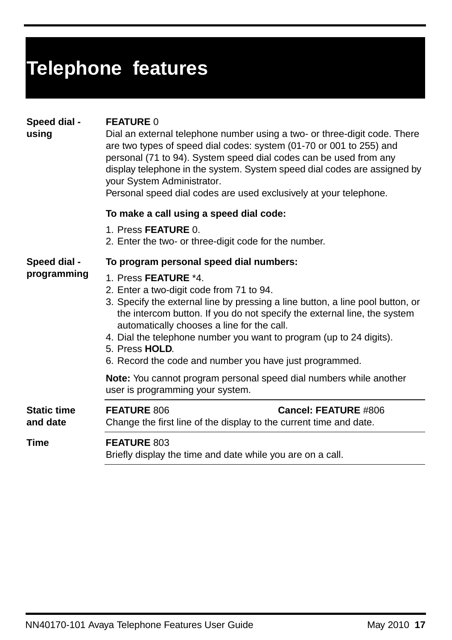|  |  | Telephone features |  |
|--|--|--------------------|--|
|  |  |                    |  |
|  |  |                    |  |

| Speed dial - | <b>FEATURE 0</b> |
|--------------|------------------|
|              |                  |

Dial an external telephone number using a two- or three-digit code. There are two types of speed dial codes: system (01-70 or 001 to 255) and personal (71 to 94). System speed dial codes can be used from any display telephone in the system. System speed dial codes are assigned by your System Administrator.

Personal speed dial codes are used exclusively at your telephone.

## **To make a call using a speed dial code:**

- 1. Press **FEATURE** 0.
- 2. Enter the two- or three-digit code for the number.

## **Speed dial -**

**using**

## **To program personal speed dial numbers:**

- **programming** 1. Press **FEATURE** \*4.
	- 2. Enter a two-digit code from 71 to 94.
	- 3. Specify the external line by pressing a line button, a line pool button, or the intercom button. If you do not specify the external line, the system automatically chooses a line for the call.
	- 4. Dial the telephone number you want to program (up to 24 digits).
	- 5. Press **HOLD**.
	- 6. Record the code and number you have just programmed.

**Note:** You cannot program personal speed dial numbers while another user is programming your system.

| <b>Static time</b><br>and date | <b>FEATURE 806</b>                                                               | <b>Cancel: FEATURE #806</b><br>Change the first line of the display to the current time and date. |
|--------------------------------|----------------------------------------------------------------------------------|---------------------------------------------------------------------------------------------------|
| Time                           | <b>FEATURE 803</b><br>Briefly display the time and date while you are on a call. |                                                                                                   |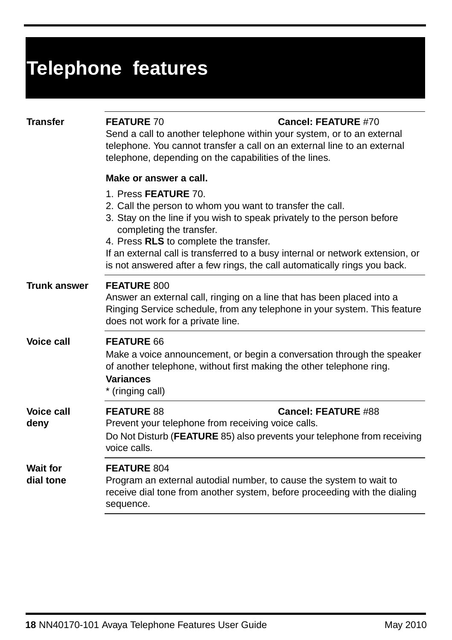| <b>Transfer</b>              | <b>FEATURE 70</b><br>Send a call to another telephone within your system, or to an external<br>telephone. You cannot transfer a call on an external line to an external<br>telephone, depending on the capabilities of the lines.                                                                                                                                                                 | Cancel: FEATURE #70        |  |
|------------------------------|---------------------------------------------------------------------------------------------------------------------------------------------------------------------------------------------------------------------------------------------------------------------------------------------------------------------------------------------------------------------------------------------------|----------------------------|--|
|                              | Make or answer a call.                                                                                                                                                                                                                                                                                                                                                                            |                            |  |
|                              | 1. Press FEATURE 70.<br>2. Call the person to whom you want to transfer the call.<br>3. Stay on the line if you wish to speak privately to the person before<br>completing the transfer.<br>4. Press RLS to complete the transfer.<br>If an external call is transferred to a busy internal or network extension, or<br>is not answered after a few rings, the call automatically rings you back. |                            |  |
| <b>Trunk answer</b>          | <b>FEATURE 800</b><br>Answer an external call, ringing on a line that has been placed into a<br>Ringing Service schedule, from any telephone in your system. This feature<br>does not work for a private line.                                                                                                                                                                                    |                            |  |
| <b>Voice call</b>            | FEATURE 66<br>Make a voice announcement, or begin a conversation through the speaker<br>of another telephone, without first making the other telephone ring.<br><b>Variances</b><br>* (ringing call)                                                                                                                                                                                              |                            |  |
| <b>Voice call</b><br>deny    | <b>FEATURE 88</b><br>Prevent your telephone from receiving voice calls.                                                                                                                                                                                                                                                                                                                           | <b>Cancel: FEATURE #88</b> |  |
|                              | Do Not Disturb (FEATURE 85) also prevents your telephone from receiving<br>voice calls.                                                                                                                                                                                                                                                                                                           |                            |  |
| <b>Wait for</b><br>dial tone | <b>FEATURE 804</b><br>Program an external autodial number, to cause the system to wait to<br>receive dial tone from another system, before proceeding with the dialing<br>sequence.                                                                                                                                                                                                               |                            |  |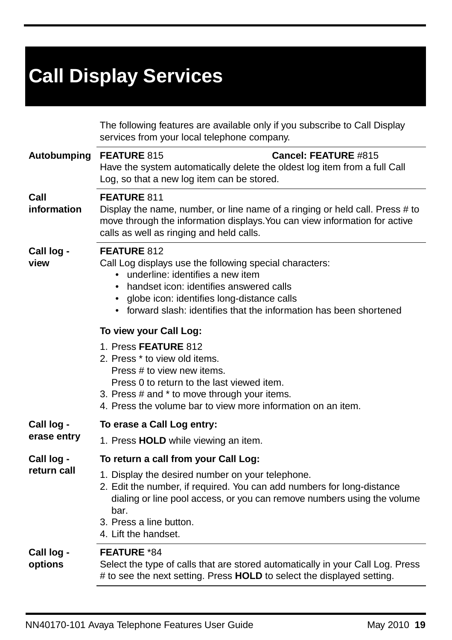# **Call Display Services**

|                           | The following features are available only if you subscribe to Call Display<br>services from your local telephone company.                                                                                                                                                                                |
|---------------------------|----------------------------------------------------------------------------------------------------------------------------------------------------------------------------------------------------------------------------------------------------------------------------------------------------------|
| Autobumping               | <b>Cancel: FEATURE #815</b><br>FEATURE 815<br>Have the system automatically delete the oldest log item from a full Call<br>Log, so that a new log item can be stored.                                                                                                                                    |
| Call<br>information       | <b>FEATURE 811</b><br>Display the name, number, or line name of a ringing or held call. Press # to<br>move through the information displays. You can view information for active<br>calls as well as ringing and held calls.                                                                             |
| Call log -<br>view        | FEATURE 812<br>Call Log displays use the following special characters:<br>underline: identifies a new item<br>handset icon: identifies answered calls<br>$\bullet$<br>globe icon: identifies long-distance calls<br>$\bullet$<br>forward slash: identifies that the information has been shortened       |
|                           | To view your Call Log:<br>1. Press FEATURE 812<br>2. Press * to view old items.<br>Press # to view new items.<br>Press 0 to return to the last viewed item.<br>3. Press # and * to move through your items.<br>4. Press the volume bar to view more information on an item.                              |
| Call log -                | To erase a Call Log entry:                                                                                                                                                                                                                                                                               |
| erase entry               | 1. Press HOLD while viewing an item.                                                                                                                                                                                                                                                                     |
| Call log -<br>return call | To return a call from your Call Log:<br>1. Display the desired number on your telephone.<br>2. Edit the number, if required. You can add numbers for long-distance<br>dialing or line pool access, or you can remove numbers using the volume<br>bar.<br>3. Press a line button.<br>4. Lift the handset. |
| Call log -<br>options     | <b>FEATURE *84</b><br>Select the type of calls that are stored automatically in your Call Log. Press<br># to see the next setting. Press HOLD to select the displayed setting.                                                                                                                           |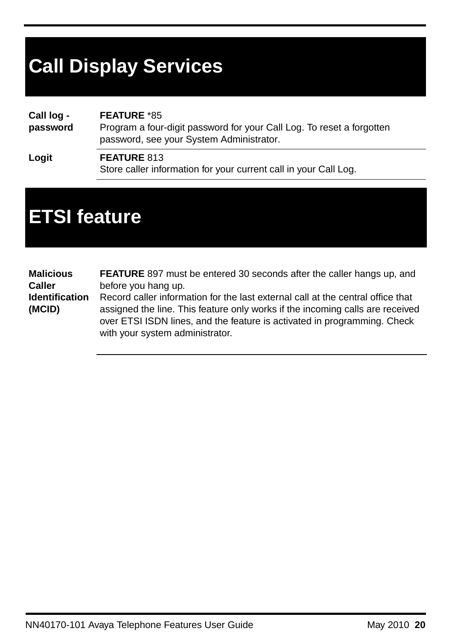# **Call Display Services**

**Call log password FEATURE** \*85 Program a four-digit password for your Call Log. To reset a forgotten password, see your System Administrator.

**Logit FEATURE** 813 Store caller information for your current call in your Call Log.

# **ETSI feature**

**Malicious Caller Identification (MCID) FEATURE** 897 must be entered 30 seconds after the caller hangs up, and before you hang up. Record caller information for the last external call at the central office that assigned the line. This feature only works if the incoming calls are received over ETSI ISDN lines, and the feature is activated in programming. Check with your system administrator.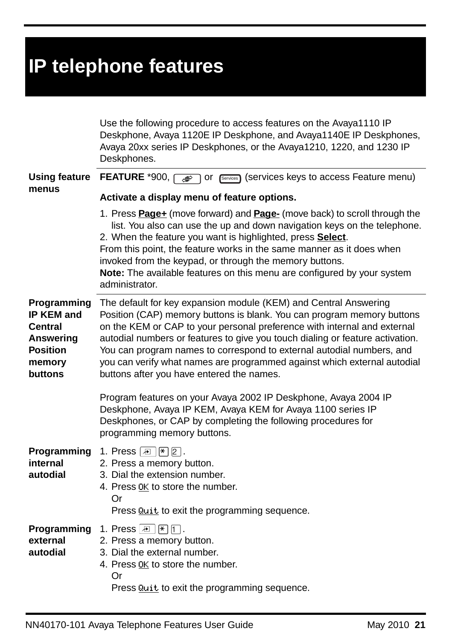|                                                                                                  | Use the following procedure to access features on the Avaya1110 IP<br>Deskphone, Avaya 1120E IP Deskphone, and Avaya1140E IP Deskphones,<br>Avaya 20xx series IP Deskphones, or the Avaya1210, 1220, and 1230 IP<br>Deskphones.                                                                                                                                                                                                                                                                                   |
|--------------------------------------------------------------------------------------------------|-------------------------------------------------------------------------------------------------------------------------------------------------------------------------------------------------------------------------------------------------------------------------------------------------------------------------------------------------------------------------------------------------------------------------------------------------------------------------------------------------------------------|
| <b>Using feature</b><br>menus                                                                    | FEATURE *900, or [Services] (services keys to access Feature menu)                                                                                                                                                                                                                                                                                                                                                                                                                                                |
|                                                                                                  | Activate a display menu of feature options.<br>1. Press <b>Page+</b> (move forward) and <b>Page-</b> (move back) to scroll through the<br>list. You also can use the up and down navigation keys on the telephone.<br>2. When the feature you want is highlighted, press Select.<br>From this point, the feature works in the same manner as it does when<br>invoked from the keypad, or through the memory buttons.<br>Note: The available features on this menu are configured by your system<br>administrator. |
| Programming<br>IP KEM and<br><b>Central</b><br>Answering<br><b>Position</b><br>memory<br>buttons | The default for key expansion module (KEM) and Central Answering<br>Position (CAP) memory buttons is blank. You can program memory buttons<br>on the KEM or CAP to your personal preference with internal and external<br>autodial numbers or features to give you touch dialing or feature activation.<br>You can program names to correspond to external autodial numbers, and<br>you can verify what names are programmed against which external autodial<br>buttons after you have entered the names.         |
|                                                                                                  | Program features on your Avaya 2002 IP Deskphone, Avaya 2004 IP<br>Deskphone, Avaya IP KEM, Avaya KEM for Avaya 1100 series IP<br>Deskphones, or CAP by completing the following procedures for<br>programming memory buttons.                                                                                                                                                                                                                                                                                    |
| internal<br>autodial                                                                             | <b>Programming</b> 1. Press $\boxed{\mathbb{E}   \mathbb{F}   \mathbb{Z} }.$<br>2. Press a memory button.<br>3. Dial the extension number.<br>4. Press <i>OK</i> to store the number.<br>Or<br>Press <b>Quit</b> to exit the programming sequence.                                                                                                                                                                                                                                                                |
| external<br>autodial                                                                             | <b>Programming</b> 1. Press $\boxed{F}$ $\boxed{F}$ $\boxed{1}$ .<br>2. Press a memory button.<br>3. Dial the external number.<br>4. Press <i>DK</i> to store the number.<br>Or<br>Press <b>Quit</b> to exit the programming sequence.                                                                                                                                                                                                                                                                            |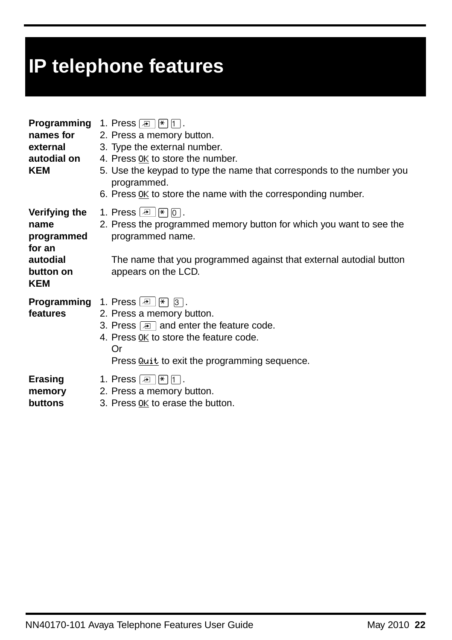| names for<br>external<br>autodial on<br>KEM                                          | <b>Programming</b> 1. Press $\boxed{E}$   $\boxed{\uparrow}$   $\boxed{\uparrow}$  .<br>2. Press a memory button.<br>3. Type the external number.<br>4. Press DK to store the number.<br>5. Use the keypad to type the name that corresponds to the number you<br>programmed.<br>6. Press $\underline{OK}$ to store the name with the corresponding number. |
|--------------------------------------------------------------------------------------|-------------------------------------------------------------------------------------------------------------------------------------------------------------------------------------------------------------------------------------------------------------------------------------------------------------------------------------------------------------|
| Verifying the<br>name<br>programmed<br>for an<br>autodial<br>button on<br><b>KEM</b> | 1. Press $\boxed{E}$ $\boxed{\ast}$ $\boxed{0}$ .<br>2. Press the programmed memory button for which you want to see the<br>programmed name.<br>The name that you programmed against that external autodial button<br>appears on the LCD.                                                                                                                   |
| features                                                                             | 2. Press a memory button.<br>3. Press $\boxed{=}$ and enter the feature code.<br>4. Press DK to store the feature code.<br>Or<br>Press Quit to exit the programming sequence.                                                                                                                                                                               |
| Erasing<br>memory<br>buttons                                                         | 1. Press $\boxed{E}$ $\boxed{\ast}$ $\boxed{\cap}$ .<br>2. Press a memory button.<br>3. Press DK to erase the button.                                                                                                                                                                                                                                       |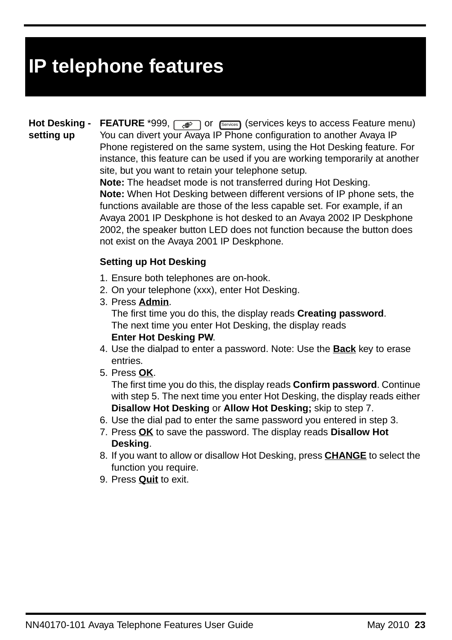**Hot Desking setting up FEATURE** \*999,  $\sqrt{P}$  or  $\sqrt{S_{\text{e}}$  (services keys to access Feature menu) You can divert your Avaya IP Phone configuration to another Avaya IP Phone registered on the same system, using the Hot Desking feature. For instance, this feature can be used if you are working temporarily at another site, but you want to retain your telephone setup.

**Note:** The headset mode is not transferred during Hot Desking. **Note:** When Hot Desking between different versions of IP phone sets, the functions available are those of the less capable set. For example, if an Avaya 2001 IP Deskphone is hot desked to an Avaya 2002 IP Deskphone 2002, the speaker button LED does not function because the button does not exist on the Avaya 2001 IP Deskphone.

## **Setting up Hot Desking**

- 1. Ensure both telephones are on-hook.
- 2. On your telephone (xxx), enter Hot Desking.
- 3. Press **Admin**. The first time you do this, the display reads **Creating password**. The next time you enter Hot Desking, the display reads **Enter Hot Desking PW**.
- 4. Use the dialpad to enter a password. Note: Use the **Back** key to erase entries.
- 5. Press **OK**.

The first time you do this, the display reads **Confirm password**. Continue with step 5. The next time you enter Hot Desking, the display reads either **Disallow Hot Desking** or **Allow Hot Desking;** skip to step 7.

- 6. Use the dial pad to enter the same password you entered in step 3.
- 7. Press **OK** to save the password. The display reads **Disallow Hot Desking**.
- 8. If you want to allow or disallow Hot Desking, press **CHANGE** to select the function you require.
- 9. Press **Quit** to exit.